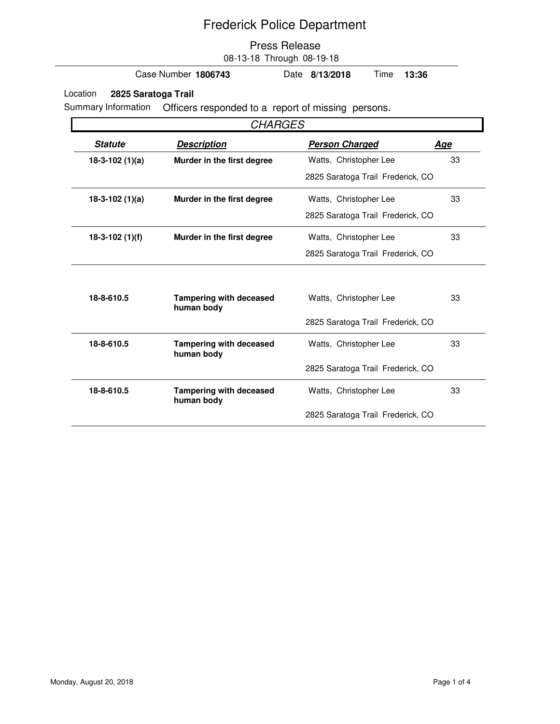#### Press Release 08-13-18 Through 08-19-18

Case Number **1806743** Date **8/13/2018** Time **13:36**

Location **2825 Saratoga Trail**

Summary Information Officers responded to a report of missing persons.

| <b>CHARGES</b>   |                                              |                                   |            |  |
|------------------|----------------------------------------------|-----------------------------------|------------|--|
| <b>Statute</b>   | <b>Description</b>                           | <b>Person Charged</b>             | <u>Age</u> |  |
| $18-3-102(1)(a)$ | Murder in the first degree                   | Watts, Christopher Lee            | 33         |  |
|                  |                                              | 2825 Saratoga Trail Frederick, CO |            |  |
| $18-3-102(1)(a)$ | Murder in the first degree                   | Watts, Christopher Lee            | 33         |  |
|                  |                                              | 2825 Saratoga Trail Frederick, CO |            |  |
| $18-3-102(1)(f)$ | Murder in the first degree                   | Watts, Christopher Lee            | 33         |  |
|                  |                                              | 2825 Saratoga Trail Frederick, CO |            |  |
|                  |                                              |                                   |            |  |
| 18-8-610.5       | <b>Tampering with deceased</b><br>human body | Watts, Christopher Lee            | 33         |  |
|                  |                                              | 2825 Saratoga Trail Frederick, CO |            |  |
| 18-8-610.5       | <b>Tampering with deceased</b><br>human body | Watts, Christopher Lee            | 33         |  |
|                  |                                              | 2825 Saratoga Trail Frederick, CO |            |  |
| 18-8-610.5       | <b>Tampering with deceased</b><br>human body | Watts, Christopher Lee            | 33         |  |
|                  |                                              | 2825 Saratoga Trail Frederick, CO |            |  |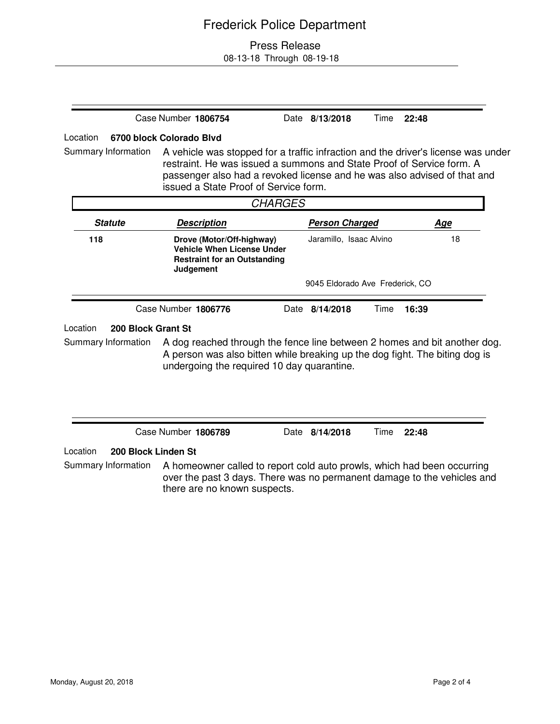### Press Release

08-13-18 Through 08-19-18

|                                 | Case Number 1806754                                                                                                                                                                                                                                                             | Date 8/13/2018                  | Time | 22:48 |            |
|---------------------------------|---------------------------------------------------------------------------------------------------------------------------------------------------------------------------------------------------------------------------------------------------------------------------------|---------------------------------|------|-------|------------|
| Location                        | 6700 block Colorado Blvd                                                                                                                                                                                                                                                        |                                 |      |       |            |
| Summary Information             | A vehicle was stopped for a traffic infraction and the driver's license was under<br>restraint. He was issued a summons and State Proof of Service form. A<br>passenger also had a revoked license and he was also advised of that and<br>issued a State Proof of Service form. |                                 |      |       |            |
|                                 | <b>CHARGES</b>                                                                                                                                                                                                                                                                  |                                 |      |       |            |
| <b>Statute</b>                  | <b>Description</b>                                                                                                                                                                                                                                                              | <b>Person Charged</b>           |      |       | <u>Age</u> |
| 118                             | Drove (Motor/Off-highway)<br><b>Vehicle When License Under</b><br><b>Restraint for an Outstanding</b><br>Judgement                                                                                                                                                              | Jaramillo, Isaac Alvino         |      |       | 18         |
|                                 |                                                                                                                                                                                                                                                                                 | 9045 Eldorado Ave Frederick, CO |      |       |            |
|                                 | Case Number 1806776                                                                                                                                                                                                                                                             | Date 8/14/2018                  | Time | 16:39 |            |
| Location<br>200 Block Grant St  |                                                                                                                                                                                                                                                                                 |                                 |      |       |            |
| Summary Information             | A dog reached through the fence line between 2 homes and bit another dog.<br>A person was also bitten while breaking up the dog fight. The biting dog is<br>undergoing the required 10 day quarantine.                                                                          |                                 |      |       |            |
|                                 | Case Number 1806789                                                                                                                                                                                                                                                             | Date 8/14/2018                  | Time | 22:48 |            |
| Location<br>200 Block Linden St |                                                                                                                                                                                                                                                                                 |                                 |      |       |            |
| Summary Information             | A homeowner called to report cold auto prowls, which had been occurring<br>over the past 3 days. There was no permanent damage to the vehicles and<br>there are no known suspects.                                                                                              |                                 |      |       |            |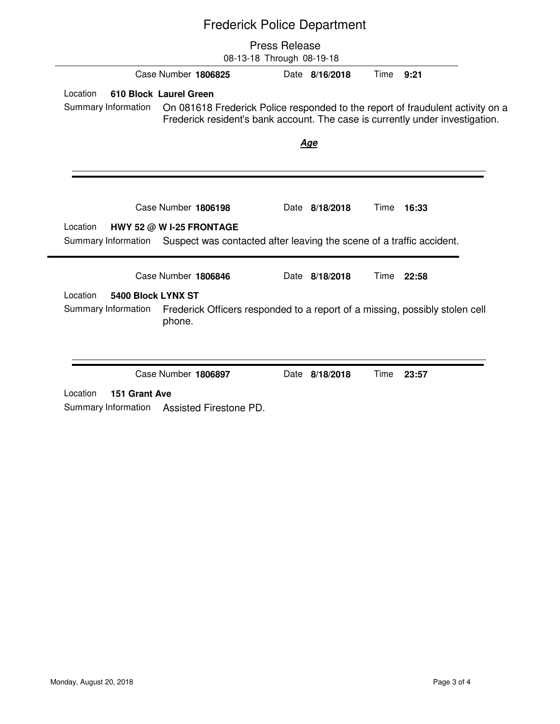|                                |                          | <b>Press Release</b><br>08-13-18 Through 08-19-18 |                                                                                                                                                                 |  |
|--------------------------------|--------------------------|---------------------------------------------------|-----------------------------------------------------------------------------------------------------------------------------------------------------------------|--|
|                                | Case Number 1806825      | Date 8/16/2018                                    | Time<br>9:21                                                                                                                                                    |  |
| Location                       | 610 Block Laurel Green   |                                                   |                                                                                                                                                                 |  |
| Summary Information            |                          |                                                   | On 081618 Frederick Police responded to the report of fraudulent activity on a<br>Frederick resident's bank account. The case is currently under investigation. |  |
|                                |                          | <u>Age</u>                                        |                                                                                                                                                                 |  |
|                                |                          |                                                   |                                                                                                                                                                 |  |
|                                | Case Number 1806198      | Date 8/18/2018                                    | Time<br>16:33                                                                                                                                                   |  |
| Location                       | HWY 52 @ W I-25 FRONTAGE |                                                   |                                                                                                                                                                 |  |
| Summary Information            |                          |                                                   | Suspect was contacted after leaving the scene of a traffic accident.                                                                                            |  |
|                                | Case Number 1806846      | Date 8/18/2018                                    | Time 22:58                                                                                                                                                      |  |
| Location<br>5400 Block LYNX ST |                          |                                                   |                                                                                                                                                                 |  |
| Summary Information            | phone.                   |                                                   | Frederick Officers responded to a report of a missing, possibly stolen cell                                                                                     |  |
|                                |                          |                                                   |                                                                                                                                                                 |  |
|                                | Case Number 1806897      | Date 8/18/2018                                    | Time<br>23:57                                                                                                                                                   |  |
| Location<br>151 Grant Ave      |                          |                                                   |                                                                                                                                                                 |  |
| Summary Information            | Assisted Firestone PD.   |                                                   |                                                                                                                                                                 |  |